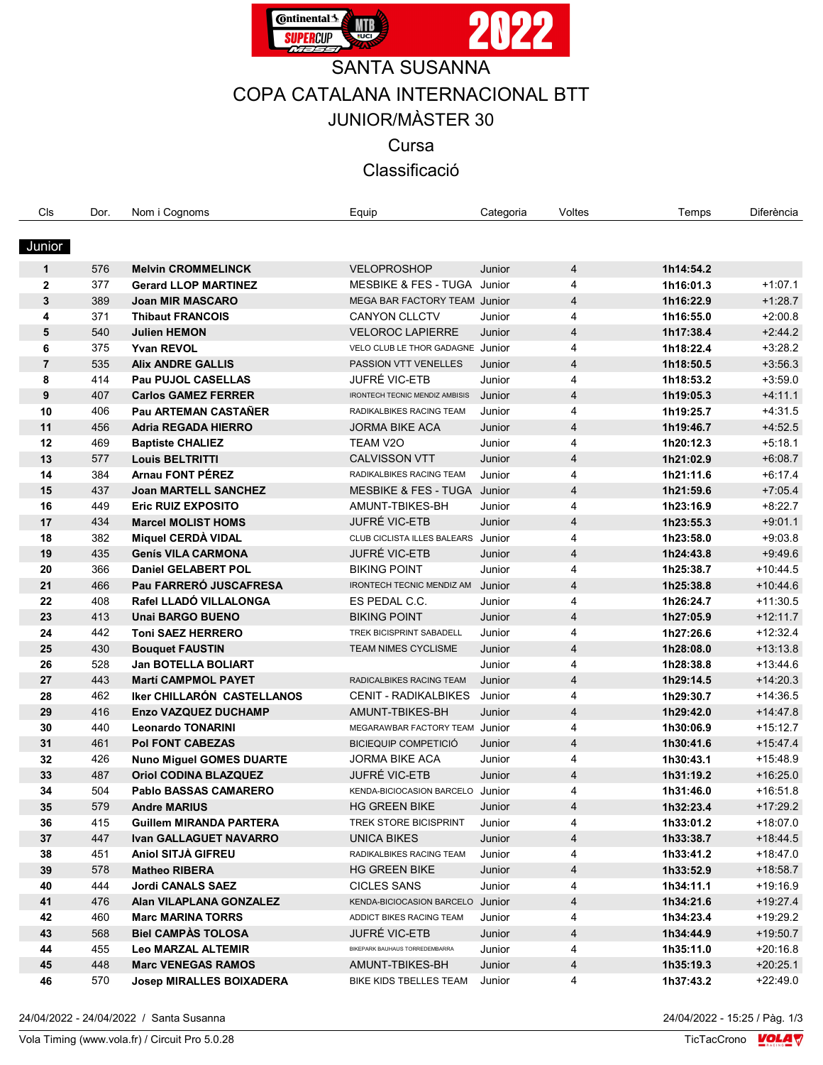

# SANTA SUSANNA

COPA CATALANA INTERNACIONAL BTT

JUNIOR/MÀSTER 30

Cursa

Classificació

| Cls            | Dor.       | Nom i Cognoms                                            | Equip                                                       | Categoria | Voltes         | Temps                  | Diferència             |
|----------------|------------|----------------------------------------------------------|-------------------------------------------------------------|-----------|----------------|------------------------|------------------------|
|                |            |                                                          |                                                             |           |                |                        |                        |
| Junior         |            |                                                          |                                                             |           |                |                        |                        |
|                |            |                                                          |                                                             |           |                |                        |                        |
| $\mathbf{1}$   | 576<br>377 | <b>Melvin CROMMELINCK</b><br><b>Gerard LLOP MARTINEZ</b> | <b>VELOPROSHOP</b><br>MESBIKE & FES - TUGA Junior           | Junior    | 4              | 1h14:54.2<br>1h16:01.3 | $+1.07.1$              |
| $\mathbf{2}$   | 389        |                                                          |                                                             |           | 4              |                        | $+1:28.7$              |
| 3              |            | <b>Joan MIR MASCARO</b>                                  | MEGA BAR FACTORY TEAM Junior                                |           | 4              | 1h16:22.9              |                        |
| 4              | 371<br>540 | <b>Thibaut FRANCOIS</b>                                  | <b>CANYON CLLCTV</b>                                        | Junior    | 4<br>4         | 1h16:55.0              | $+2:00.8$<br>$+2:44.2$ |
| 5              |            | <b>Julien HEMON</b><br><b>Yvan REVOL</b>                 | <b>VELOROC LAPIERRE</b><br>VELO CLUB LE THOR GADAGNE Junior | Junior    | 4              | 1h17:38.4              | $+3:28.2$              |
| 6              | 375        |                                                          | PASSION VTT VENELLES                                        |           |                | 1h18:22.4              |                        |
| $\overline{7}$ | 535        | <b>Alix ANDRE GALLIS</b>                                 | <b>JUFRÉ VIC-ETB</b>                                        | Junior    | 4              | 1h18:50.5              | $+3.56.3$              |
| 8              | 414        | Pau PUJOL CASELLAS                                       |                                                             | Junior    | 4              | 1h18:53.2              | $+3:59.0$              |
| 9              | 407        | <b>Carlos GAMEZ FERRER</b>                               | <b>IRONTECH TECNIC MENDIZ AMBISIS</b>                       | Junior    | $\overline{4}$ | 1h19:05.3              | $+4$ 11.1              |
| 10             | 406        | Pau ARTEMAN CASTAÑER                                     | RADIKALBIKES RACING TEAM                                    | Junior    | 4              | 1h19:25.7              | $+4.31.5$              |
| 11             | 456        | <b>Adria REGADA HIERRO</b>                               | JORMA BIKE ACA                                              | Junior    | 4              | 1h19:46.7              | $+4:52.5$              |
| 12             | 469        | <b>Baptiste CHALIEZ</b>                                  | TEAM V2O                                                    | Junior    | 4              | 1h20:12.3              | $+5:18.1$              |
| 13             | 577        | <b>Louis BELTRITTI</b>                                   | <b>CALVISSON VTT</b>                                        | Junior    | 4              | 1h21:02.9              | $+6.08.7$              |
| 14             | 384        | <b>Arnau FONT PÉREZ</b>                                  | RADIKALBIKES RACING TEAM                                    | Junior    | 4              | 1h21:11.6              | $+6.17.4$              |
| 15             | 437        | <b>Joan MARTELL SANCHEZ</b>                              | <b>MESBIKE &amp; FES - TUGA</b>                             | Junior    | $\overline{4}$ | 1h21:59.6              | $+7.05.4$              |
| 16             | 449        | <b>Eric RUIZ EXPOSITO</b>                                | AMUNT-TBIKES-BH                                             | Junior    | 4              | 1h23:16.9              | $+8.22.7$              |
| 17             | 434        | <b>Marcel MOLIST HOMS</b>                                | JUFRÉ VIC-ETB                                               | Junior    | 4              | 1h23:55.3              | $+9.01.1$              |
| 18             | 382        | Miquel CERDA VIDAL                                       | CLUB CICLISTA ILLES BALEARS                                 | Junior    | 4              | 1h23:58.0              | $+9.03.8$              |
| 19             | 435        | <b>Genís VILA CARMONA</b>                                | JUFRÉ VIC-ETB                                               | Junior    | 4              | 1h24:43.8              | $+9.49.6$              |
| 20             | 366        | <b>Daniel GELABERT POL</b>                               | <b>BIKING POINT</b>                                         | Junior    | 4              | 1h25:38.7              | $+10.44.5$             |
| 21             | 466        | Pau FARRERÓ JUSCAFRESA                                   | IRONTECH TECNIC MENDIZ AM                                   | Junior    | 4              | 1h25:38.8              | $+10.44.6$             |
| 22             | 408        | Rafel LLADÓ VILLALONGA                                   | ES PEDAL C.C.                                               | Junior    | 4              | 1h26:24.7              | $+11:30.5$             |
| 23             | 413        | <b>Unai BARGO BUENO</b>                                  | <b>BIKING POINT</b>                                         | Junior    | 4              | 1h27:05.9              | $+12:11.7$             |
| 24             | 442        | <b>Toni SAEZ HERRERO</b>                                 | TREK BICISPRINT SABADELL                                    | Junior    | 4              | 1h27:26.6              | $+12:32.4$             |
| 25             | 430        | <b>Bouquet FAUSTIN</b>                                   | <b>TEAM NIMES CYCLISME</b>                                  | Junior    | 4              | 1h28:08.0              | $+13.13.8$             |
| 26             | 528        | Jan BOTELLA BOLIART                                      |                                                             | Junior    | 4              | 1h28:38.8              | $+13:44.6$             |
| 27             | 443        | <b>Martí CAMPMOL PAYET</b>                               | RADICALBIKES RACING TEAM                                    | Junior    | 4              | 1h29:14.5              | $+14:20.3$             |
| 28             | 462        | Iker CHILLARÓN CASTELLANOS                               | <b>CENIT - RADIKALBIKES</b>                                 | Junior    | 4              | 1h29:30.7              | $+14:36.5$             |
| 29             | 416        | Enzo VAZQUEZ DUCHAMP                                     | AMUNT-TBIKES-BH                                             | Junior    | 4              | 1h29:42.0              | $+14.47.8$             |
| 30             | 440        | <b>Leonardo TONARINI</b>                                 | MEGARAWBAR FACTORY TEAM                                     | Junior    | 4              | 1h30:06.9              | $+15:12.7$             |
| 31             | 461        | <b>Pol FONT CABEZAS</b>                                  | <b>BICIEQUIP COMPETICIÓ</b>                                 | Junior    | 4              | 1h30:41.6              | $+15.47.4$             |
| 32             | 426        | <b>Nuno Miguel GOMES DUARTE</b>                          | <b>JORMA BIKE ACA</b>                                       | Junior    | 4              | 1h30:43.1              | $+15.48.9$             |
| 33             | 487        | <b>Oriol CODINA BLAZQUEZ</b>                             | <b>JUFRÉ VIC-ETB</b>                                        | Junior    | 4              | 1h31:19.2              | $+16:25.0$             |
| 34             | 504        | <b>Pablo BASSAS CAMARERO</b>                             | KENDA-BICIOCASION BARCELO                                   | Junior    | 4              | 1h31:46.0              | $+16:51.8$             |
| 35             | 579        | <b>Andre MARIUS</b>                                      | <b>HG GREEN BIKE</b>                                        | Junior    | 4              | 1h32:23.4              | +17:29.2               |
| 36             | 415        | <b>Guillem MIRANDA PARTERA</b>                           | TREK STORE BICISPRINT                                       | Junior    | 4              | 1h33:01.2              | $+18:07.0$             |
| 37             | 447        | <b>Ivan GALLAGUET NAVARRO</b>                            | <b>UNICA BIKES</b>                                          | Junior    | 4              | 1h33:38.7              | $+18.44.5$             |
| 38             | 451        | <b>Aniol SITJA GIFREU</b>                                | RADIKALBIKES RACING TEAM                                    | Junior    | 4              | 1h33:41.2              | $+18:47.0$             |
| 39             | 578        | <b>Matheo RIBERA</b>                                     | <b>HG GREEN BIKE</b>                                        | Junior    | 4              | 1h33:52.9              | $+18.58.7$             |
| 40             | 444        | <b>Jordi CANALS SAEZ</b>                                 | <b>CICLES SANS</b>                                          | Junior    | 4              | 1h34:11.1              | $+19.16.9$             |
| 41             | 476        | Alan VILAPLANA GONZALEZ                                  | KENDA-BICIOCASION BARCELO                                   | Junior    | 4              | 1h34:21.6              | $+19:27.4$             |
| 42             | 460        | <b>Marc MARINA TORRS</b>                                 | ADDICT BIKES RACING TEAM                                    | Junior    | 4              | 1h34:23.4              | +19:29.2               |
| 43             | 568        | <b>Biel CAMPAS TOLOSA</b>                                | JUFRÉ VIC-ETB                                               | Junior    | 4              | 1h34:44.9              | $+19.50.7$             |
| 44             | 455        | Leo MARZAL ALTEMIR                                       | BIKEPARK BAUHAUS TORREDEMBARRA                              | Junior    | 4              | 1h35:11.0              | $+20:16.8$             |
| 45             | 448        | <b>Marc VENEGAS RAMOS</b>                                | AMUNT-TBIKES-BH                                             | Junior    | 4              | 1h35:19.3              | $+20.25.1$             |
| 46             | 570        | <b>Josep MIRALLES BOIXADERA</b>                          | BIKE KIDS TBELLES TEAM                                      | Junior    | 4              | 1h37:43.2              | $+22:49.0$             |
|                |            |                                                          |                                                             |           |                |                        |                        |

24/04/2022 - 24/04/2022 / Santa Susanna 24/04/2022 - 15:25 / Pàg. 1/3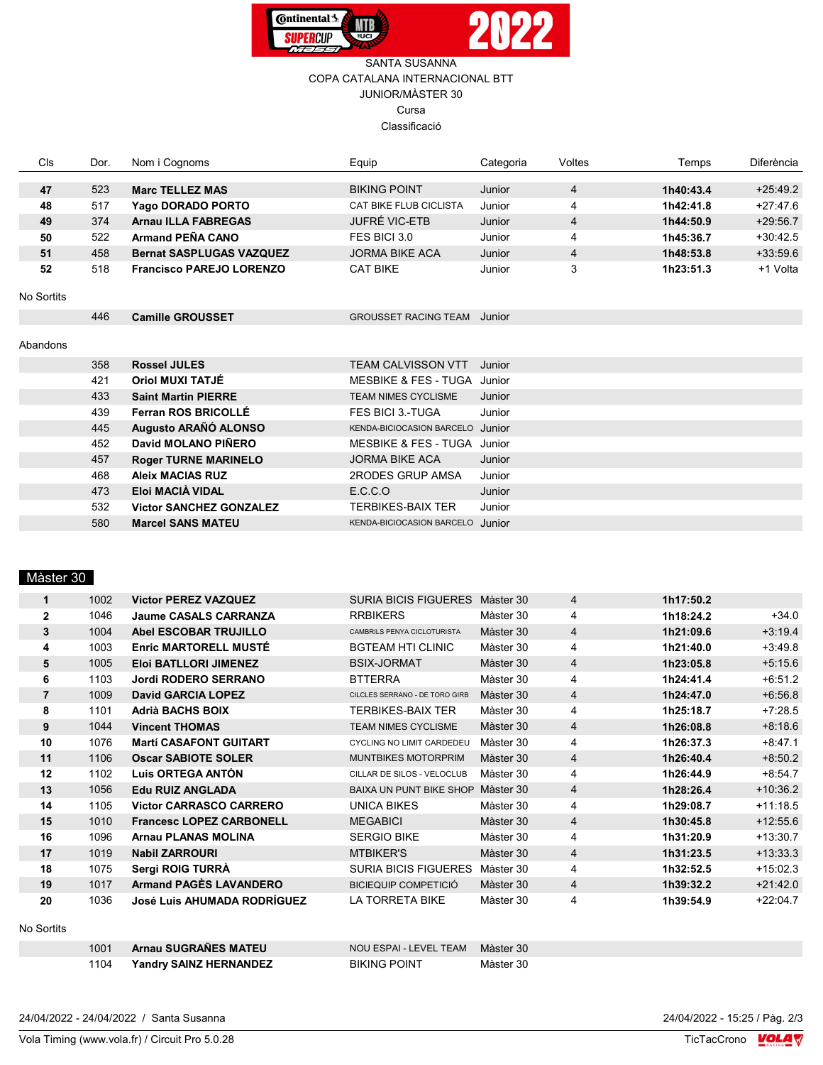

## SANTA SUSANNA COPA CATALANA INTERNACIONAL BTT JUNIOR/MÀSTER 30 Cursa Classificació

| <b>CIs</b> | Dor. | Nom i Cognoms                   | Equip                           | Categoria | Voltes         | Temps     | <b>Diferència</b> |
|------------|------|---------------------------------|---------------------------------|-----------|----------------|-----------|-------------------|
|            |      |                                 |                                 |           |                |           |                   |
| 47         | 523  | <b>Marc TELLEZ MAS</b>          | <b>BIKING POINT</b>             | Junior    | 4              | 1h40:43.4 | $+25.49.2$        |
| 48         | 517  | Yago DORADO PORTO               | CAT BIKE FLUB CICLISTA          | Junior    | 4              | 1h42:41.8 | $+27:47.6$        |
| 49         | 374  | <b>Arnau ILLA FABREGAS</b>      | <b>JUFRÉ VIC-ETB</b>            | Junior    | 4              | 1h44:50.9 | $+29:56.7$        |
| 50         | 522  | Armand PEÑA CANO                | FES BICI 3.0                    | Junior    | 4              | 1h45:36.7 | $+30:42.5$        |
| 51         | 458  | <b>Bernat SASPLUGAS VAZQUEZ</b> | <b>JORMA BIKE ACA</b>           | Junior    | $\overline{4}$ | 1h48:53.8 | $+33:59.6$        |
| 52         | 518  | <b>Francisco PAREJO LORENZO</b> | <b>CAT BIKE</b>                 | Junior    | 3              | 1h23:51.3 | +1 Volta          |
|            |      |                                 |                                 |           |                |           |                   |
| No Sortits |      |                                 |                                 |           |                |           |                   |
|            | 446  | <b>Camille GROUSSET</b>         | <b>GROUSSET RACING TEAM</b>     | Junior    |                |           |                   |
|            |      |                                 |                                 |           |                |           |                   |
| Abandons   |      |                                 |                                 |           |                |           |                   |
|            | 358  | <b>Rossel JULES</b>             | <b>TEAM CALVISSON VTT</b>       | Junior    |                |           |                   |
|            | 421  | <b>Oriol MUXI TATJÉ</b>         | MESBIKE & FES - TUGA Junior     |           |                |           |                   |
|            | 433  | <b>Saint Martin PIERRE</b>      | <b>TEAM NIMES CYCLISME</b>      | Junior    |                |           |                   |
|            | 439  | <b>Ferran ROS BRICOLLÉ</b>      | <b>FES BICI 3.-TUGA</b>         | Junior    |                |           |                   |
|            | 445  | Augusto ARAÑÓ ALONSO            | KENDA-BICIOCASION BARCELO       | Junior    |                |           |                   |
|            | 452  | David MOLANO PIÑERO             | <b>MESBIKE &amp; FES - TUGA</b> | Junior    |                |           |                   |
|            | 457  | <b>Roger TURNE MARINELO</b>     | <b>JORMA BIKE ACA</b>           | Junior    |                |           |                   |
|            | 468  | <b>Aleix MACIAS RUZ</b>         | 2RODES GRUP AMSA                | Junior    |                |           |                   |
|            | 473  | Eloi MACIÀ VIDAL                | E.C.C.O                         | Junior    |                |           |                   |
|            | 532  | <b>Victor SANCHEZ GONZALEZ</b>  | <b>TERBIKES-BAIX TER</b>        | Junior    |                |           |                   |
|            | 580  | <b>Marcel SANS MATEU</b>        | KENDA-BICIOCASION BARCELO       | Junior    |                |           |                   |

# Màster 30

| 1            | 1002 | <b>Victor PEREZ VAZQUEZ</b>     | SURIA BICIS FIGUERES Màster 30    |           | 4              | 1h17:50.2 |            |
|--------------|------|---------------------------------|-----------------------------------|-----------|----------------|-----------|------------|
| $\mathbf{2}$ | 1046 | <b>Jaume CASALS CARRANZA</b>    | <b>RRBIKERS</b>                   | Màster 30 | 4              | 1h18:24.2 | $+34.0$    |
| 3            | 1004 | <b>Abel ESCOBAR TRUJILLO</b>    | CAMBRILS PENYA CICLOTURISTA       | Màster 30 | $\overline{4}$ | 1h21:09.6 | $+3:19.4$  |
| 4            | 1003 | <b>Enric MARTORELL MUSTÉ</b>    | <b>BGTEAM HTI CLINIC</b>          | Màster 30 | 4              | 1h21:40.0 | $+3:49.8$  |
| 5            | 1005 | <b>Eloi BATLLORI JIMENEZ</b>    | <b>BSIX-JORMAT</b>                | Màster 30 | $\overline{4}$ | 1h23:05.8 | $+5:15.6$  |
| 6            | 1103 | <b>Jordi RODERO SERRANO</b>     | <b>BTTERRA</b>                    | Màster 30 | 4              | 1h24:41.4 | $+6:51.2$  |
| 7            | 1009 | <b>David GARCIA LOPEZ</b>       | CILCLES SERRANO - DE TORO GIRB    | Màster 30 | $\overline{4}$ | 1h24:47.0 | $+6.56.8$  |
| 8            | 1101 | <b>Adrià BACHS BOIX</b>         | <b>TERBIKES-BAIX TER</b>          | Màster 30 | 4              | 1h25:18.7 | $+7:28.5$  |
| 9            | 1044 | <b>Vincent THOMAS</b>           | <b>TEAM NIMES CYCLISME</b>        | Màster 30 | $\overline{4}$ | 1h26:08.8 | $+8:18.6$  |
| 10           | 1076 | <b>Martí CASAFONT GUITART</b>   | <b>CYCLING NO LIMIT CARDEDEU</b>  | Màster 30 | 4              | 1h26:37.3 | $+8:47.1$  |
| 11           | 1106 | <b>Oscar SABIOTE SOLER</b>      | <b>MUNTBIKES MOTORPRIM</b>        | Màster 30 | $\overline{4}$ | 1h26:40.4 | $+8:50.2$  |
| 12           | 1102 | Luis ORTEGA ANTÓN               | CILLAR DE SILOS - VELOCLUB        | Màster 30 | 4              | 1h26:44.9 | $+8:54.7$  |
| 13           | 1056 | <b>Edu RUIZ ANGLADA</b>         | BAIXA UN PUNT BIKE SHOP Màster 30 |           | $\overline{4}$ | 1h28:26.4 | $+10:36.2$ |
| 14           | 1105 | <b>Victor CARRASCO CARRERO</b>  | UNICA BIKES                       | Màster 30 | 4              | 1h29:08.7 | $+11:18.5$ |
| 15           | 1010 | <b>Francesc LOPEZ CARBONELL</b> | <b>MEGABICI</b>                   | Màster 30 | $\overline{4}$ | 1h30:45.8 | $+12:55.6$ |
| 16           | 1096 | <b>Arnau PLANAS MOLINA</b>      | <b>SERGIO BIKE</b>                | Màster 30 | 4              | 1h31:20.9 | $+13:30.7$ |
| 17           | 1019 | <b>Nabil ZARROURI</b>           | <b>MTBIKER'S</b>                  | Màster 30 | $\overline{4}$ | 1h31:23.5 | $+13:33.3$ |
| 18           | 1075 | Sergi ROIG TURRA                | <b>SURIA BICIS FIGUERES</b>       | Màster 30 | 4              | 1h32:52.5 | $+15:02.3$ |
| 19           | 1017 | <b>Armand PAGÈS LAVANDERO</b>   | BICIEQUIP COMPETICIÓ              | Màster 30 | 4              | 1h39:32.2 | $+21:42.0$ |
| 20           | 1036 | José Luis AHUMADA RODRÍGUEZ     | LA TORRETA BIKE                   | Màster 30 | 4              | 1h39:54.9 | $+22:04.7$ |

#### No Sortits

| 1001 | Arnau SUGRAÑES MATEU          | NOU ESPAI - LEVEL TEAM Màster 30 |           |
|------|-------------------------------|----------------------------------|-----------|
| 1104 | <b>Yandry SAINZ HERNANDEZ</b> | <b>BIKING POINT</b>              | Màster 30 |